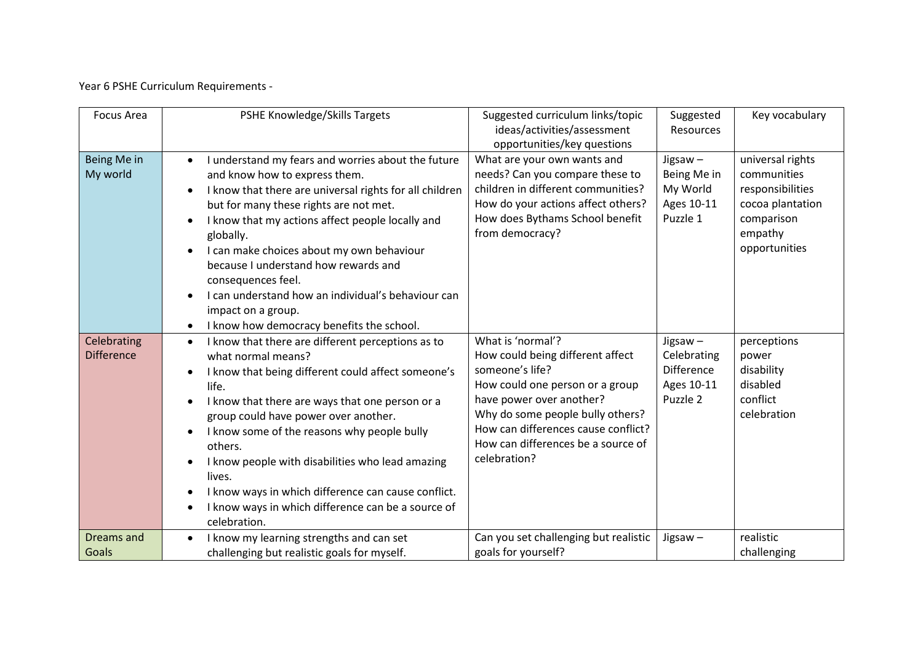Year 6 PSHE Curriculum Requirements -

| Focus Area                       | PSHE Knowledge/Skills Targets                                                                                                                                                                                                                                                                                                                                                                                                                                                                       | Suggested curriculum links/topic<br>ideas/activities/assessment<br>opportunities/key questions                                                                                                                                                                           | Suggested<br><b>Resources</b>                                            | Key vocabulary                                                                                                    |
|----------------------------------|-----------------------------------------------------------------------------------------------------------------------------------------------------------------------------------------------------------------------------------------------------------------------------------------------------------------------------------------------------------------------------------------------------------------------------------------------------------------------------------------------------|--------------------------------------------------------------------------------------------------------------------------------------------------------------------------------------------------------------------------------------------------------------------------|--------------------------------------------------------------------------|-------------------------------------------------------------------------------------------------------------------|
| Being Me in<br>My world          | I understand my fears and worries about the future<br>and know how to express them.<br>I know that there are universal rights for all children<br>but for many these rights are not met.<br>I know that my actions affect people locally and<br>globally.<br>I can make choices about my own behaviour<br>because I understand how rewards and<br>consequences feel.<br>I can understand how an individual's behaviour can<br>impact on a group.<br>I know how democracy benefits the school.       | What are your own wants and<br>needs? Can you compare these to<br>children in different communities?<br>How do your actions affect others?<br>How does Bythams School benefit<br>from democracy?                                                                         | Jigsaw $-$<br>Being Me in<br>My World<br>Ages 10-11<br>Puzzle 1          | universal rights<br>communities<br>responsibilities<br>cocoa plantation<br>comparison<br>empathy<br>opportunities |
| Celebrating<br><b>Difference</b> | I know that there are different perceptions as to<br>$\bullet$<br>what normal means?<br>I know that being different could affect someone's<br>life.<br>I know that there are ways that one person or a<br>group could have power over another.<br>I know some of the reasons why people bully<br>others.<br>I know people with disabilities who lead amazing<br>lives.<br>I know ways in which difference can cause conflict.<br>I know ways in which difference can be a source of<br>celebration. | What is 'normal'?<br>How could being different affect<br>someone's life?<br>How could one person or a group<br>have power over another?<br>Why do some people bully others?<br>How can differences cause conflict?<br>How can differences be a source of<br>celebration? | Jigsaw $-$<br>Celebrating<br><b>Difference</b><br>Ages 10-11<br>Puzzle 2 | perceptions<br>power<br>disability<br>disabled<br>conflict<br>celebration                                         |
| <b>Dreams</b> and<br>Goals       | I know my learning strengths and can set<br>challenging but realistic goals for myself.                                                                                                                                                                                                                                                                                                                                                                                                             | Can you set challenging but realistic<br>goals for yourself?                                                                                                                                                                                                             | $Jiggsaw -$                                                              | realistic<br>challenging                                                                                          |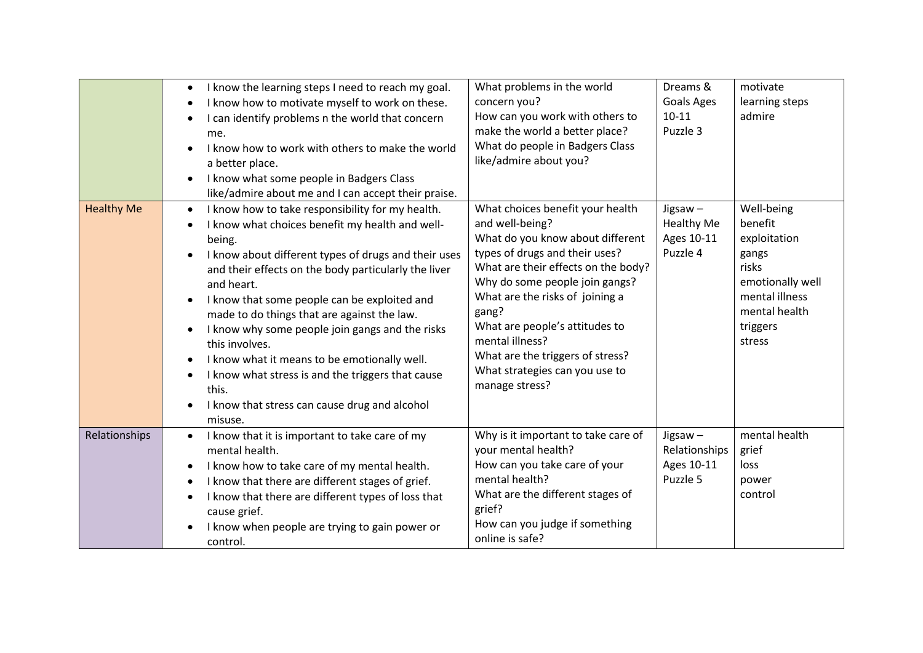|                   | I know the learning steps I need to reach my goal.<br>$\bullet$<br>I know how to motivate myself to work on these.<br>I can identify problems n the world that concern<br>$\bullet$<br>me.<br>I know how to work with others to make the world<br>a better place.                                                                                                                                                                                                                                                                                                                                                                             | What problems in the world<br>concern you?<br>How can you work with others to<br>make the world a better place?<br>What do people in Badgers Class<br>like/admire about you?                                                                                                                                                                                                                | Dreams &<br><b>Goals Ages</b><br>$10 - 11$<br>Puzzle 3 | motivate<br>learning steps<br>admire                                                                                                 |
|-------------------|-----------------------------------------------------------------------------------------------------------------------------------------------------------------------------------------------------------------------------------------------------------------------------------------------------------------------------------------------------------------------------------------------------------------------------------------------------------------------------------------------------------------------------------------------------------------------------------------------------------------------------------------------|---------------------------------------------------------------------------------------------------------------------------------------------------------------------------------------------------------------------------------------------------------------------------------------------------------------------------------------------------------------------------------------------|--------------------------------------------------------|--------------------------------------------------------------------------------------------------------------------------------------|
|                   | I know what some people in Badgers Class<br>$\bullet$<br>like/admire about me and I can accept their praise.                                                                                                                                                                                                                                                                                                                                                                                                                                                                                                                                  |                                                                                                                                                                                                                                                                                                                                                                                             |                                                        |                                                                                                                                      |
| <b>Healthy Me</b> | I know how to take responsibility for my health.<br>$\bullet$<br>I know what choices benefit my health and well-<br>$\bullet$<br>being.<br>I know about different types of drugs and their uses<br>and their effects on the body particularly the liver<br>and heart.<br>I know that some people can be exploited and<br>$\bullet$<br>made to do things that are against the law.<br>I know why some people join gangs and the risks<br>this involves.<br>I know what it means to be emotionally well.<br>$\bullet$<br>I know what stress is and the triggers that cause<br>this.<br>I know that stress can cause drug and alcohol<br>misuse. | What choices benefit your health<br>and well-being?<br>What do you know about different<br>types of drugs and their uses?<br>What are their effects on the body?<br>Why do some people join gangs?<br>What are the risks of joining a<br>gang?<br>What are people's attitudes to<br>mental illness?<br>What are the triggers of stress?<br>What strategies can you use to<br>manage stress? | Jigsaw-<br><b>Healthy Me</b><br>Ages 10-11<br>Puzzle 4 | Well-being<br>benefit<br>exploitation<br>gangs<br>risks<br>emotionally well<br>mental illness<br>mental health<br>triggers<br>stress |
| Relationships     | I know that it is important to take care of my<br>$\bullet$<br>mental health.<br>I know how to take care of my mental health.<br>$\bullet$<br>I know that there are different stages of grief.<br>$\bullet$<br>I know that there are different types of loss that<br>$\bullet$<br>cause grief.<br>I know when people are trying to gain power or<br>control.                                                                                                                                                                                                                                                                                  | Why is it important to take care of<br>your mental health?<br>How can you take care of your<br>mental health?<br>What are the different stages of<br>grief?<br>How can you judge if something<br>online is safe?                                                                                                                                                                            | Jigsaw-<br>Relationships<br>Ages 10-11<br>Puzzle 5     | mental health<br>grief<br>loss<br>power<br>control                                                                                   |